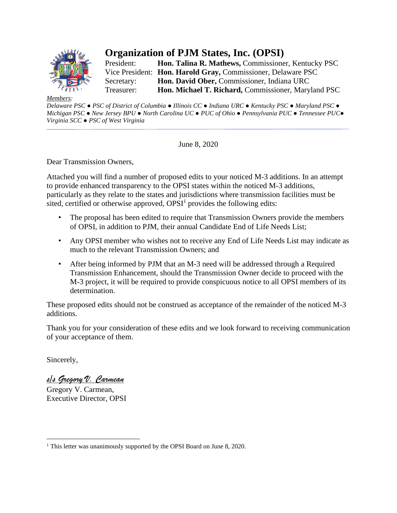

# **Organization of PJM States, Inc. (OPSI)**

President: **Hon. Talina R. Mathews,** Commissioner, Kentucky PSC Vice President: **Hon. Harold Gray,** Commissioner, Delaware PSC Secretary: **Hon. David Ober,** Commissioner, Indiana URC Treasurer: **Hon. Michael T. Richard,** Commissioner, Maryland PSC

*Members:*

Delaware PSC . PSC of District of Columbia . Illinois CC . Indiana URC . Kentucky PSC . Maryland PSC . *Michigan PSC ● New Jersey BPU ● North Carolina UC ● PUC of Ohio ● Pennsylvania PUC ● Tennessee PUC● Virginia SCC ● PSC of West Virginia* 

June 8, 2020

Dear Transmission Owners,

Attached you will find a number of proposed edits to your noticed M-3 additions. In an attempt to provide enhanced transparency to the OPSI states within the noticed M-3 additions, particularly as they relate to the states and jurisdictions where transmission facilities must be sited, certified or otherwise approved,  $OPSI<sup>1</sup>$  provides the following edits:

- The proposal has been edited to require that Transmission Owners provide the members of OPSI, in addition to PJM, their annual Candidate End of Life Needs List;
- Any OPSI member who wishes not to receive any End of Life Needs List may indicate as much to the relevant Transmission Owners; and
- After being informed by PJM that an M-3 need will be addressed through a Required Transmission Enhancement, should the Transmission Owner decide to proceed with the M-3 project, it will be required to provide conspicuous notice to all OPSI members of its determination.

These proposed edits should not be construed as acceptance of the remainder of the noticed M-3 additions.

Thank you for your consideration of these edits and we look forward to receiving communication of your acceptance of them.

Sincerely,

*s/s Gregory V. Carmean*

Gregory V. Carmean, Executive Director, OPSI

<sup>&</sup>lt;sup>1</sup> This letter was unanimously supported by the OPSI Board on June 8, 2020.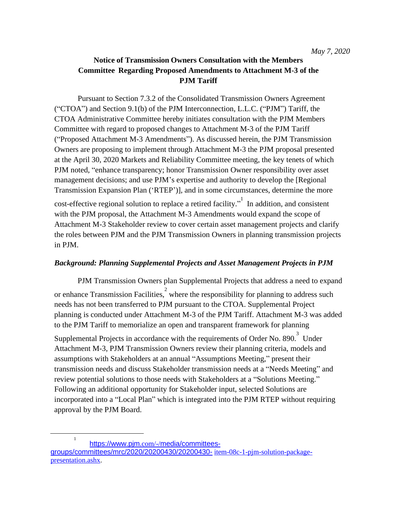# **Notice of Transmission Owners Consultation with the Members Committee Regarding Proposed Amendments to Attachment M-3 of the PJM Tariff**

Pursuant to Section 7.3.2 of the Consolidated Transmission Owners Agreement ("CTOA") and Section 9.1(b) of the PJM Interconnection, L.L.C. ("PJM") Tariff, the CTOA Administrative Committee hereby initiates consultation with the PJM Members Committee with regard to proposed changes to Attachment M-3 of the PJM Tariff ("Proposed Attachment M-3 Amendments"). As discussed herein, the PJM Transmission Owners are proposing to implement through Attachment M-3 the PJM proposal presented at the April 30, 2020 Markets and Reliability Committee meeting, the key tenets of which PJM noted, "enhance transparency; honor Transmission Owner responsibility over asset management decisions; and use PJM's expertise and authority to develop the [Regional Transmission Expansion Plan ('RTEP')], and in some circumstances, determine the more cost-effective regional solution to replace a retired facility.<sup> $n^1$ </sup> In addition, and consistent with the PJM proposal, the Attachment M-3 Amendments would expand the scope of Attachment M-3 Stakeholder review to cover certain asset management projects and clarify the roles between PJM and the PJM Transmission Owners in planning transmission projects in PJM.

#### *Background: Planning Supplemental Projects and Asset Management Projects in PJM*

PJM Transmission Owners plan Supplemental Projects that address a need to expand or enhance Transmission Facilities, <sup>2</sup> where the responsibility for planning to address such needs has not been transferred to PJM pursuant to the CTOA. Supplemental Project planning is conducted under Attachment M-3 of the PJM Tariff. Attachment M-3 was added to the PJM Tariff to memorialize an open and transparent framework for planning

Supplemental Projects in accordance with the requirements of Order No. 890.<sup>3</sup> Under Attachment M-3, PJM Transmission Owners review their planning criteria, models and assumptions with Stakeholders at an annual "Assumptions Meeting," present their transmission needs and discuss Stakeholder transmission needs at a "Needs Meeting" and review potential solutions to those needs with Stakeholders at a "Solutions Meeting." Following an additional opportunity for Stakeholder input, selected Solutions are incorporated into a "Local Plan" which is integrated into the PJM RTEP without requiring approval by the PJM Board.

1

[https://www.pjm](http://www.pjm.com/-/media/committees-groups/committees/mrc/2020/20200430/20200430-).com/-/[media/committees-](http://www.pjm.com/-/media/committees-groups/committees/mrc/2020/20200430/20200430-)

[groups/committees/mrc/2020/20200430/20200430-](http://www.pjm.com/-/media/committees-groups/committees/mrc/2020/20200430/20200430-) item-08c-1-pjm-solution-packagepresentation.ashx.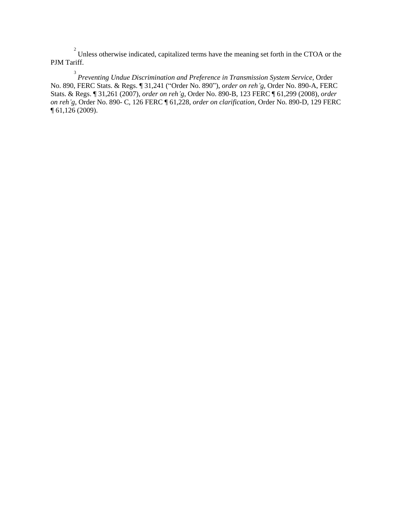$2^{2}$  Unless otherwise indicated, capitalized terms have the meaning set forth in the CTOA or the PJM Tariff.

3 *Preventing Undue Discrimination and Preference in Transmission System Service*, Order No. 890, FERC Stats. & Regs. ¶ 31,241 ("Order No. 890"), *order on reh'g*, Order No. 890-A, FERC Stats. & Regs. ¶ 31,261 (2007), *order on reh'g*, Order No. 890-B, 123 FERC ¶ 61,299 (2008), *order on reh'g*, Order No. 890- C, 126 FERC ¶ 61,228, *order on clarification*, Order No. 890-D, 129 FERC ¶ 61,126 (2009).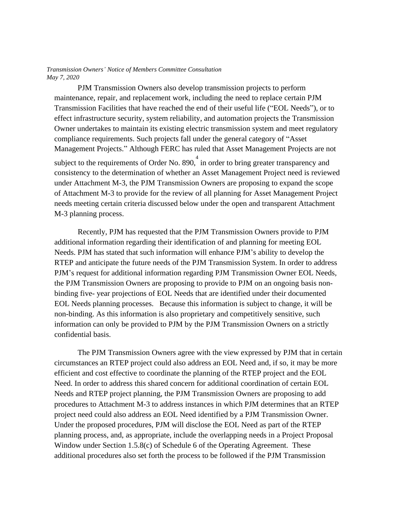PJM Transmission Owners also develop transmission projects to perform maintenance, repair, and replacement work, including the need to replace certain PJM Transmission Facilities that have reached the end of their useful life ("EOL Needs"), or to effect infrastructure security, system reliability, and automation projects the Transmission Owner undertakes to maintain its existing electric transmission system and meet regulatory compliance requirements. Such projects fall under the general category of "Asset Management Projects." Although FERC has ruled that Asset Management Projects are not subject to the requirements of Order No. 890, $\frac{4}{3}$  in order to bring greater transparency and consistency to the determination of whether an Asset Management Project need is reviewed under Attachment M-3, the PJM Transmission Owners are proposing to expand the scope of Attachment M-3 to provide for the review of all planning for Asset Management Project needs meeting certain criteria discussed below under the open and transparent Attachment M-3 planning process.

Recently, PJM has requested that the PJM Transmission Owners provide to PJM additional information regarding their identification of and planning for meeting EOL Needs. PJM has stated that such information will enhance PJM's ability to develop the RTEP and anticipate the future needs of the PJM Transmission System. In order to address PJM's request for additional information regarding PJM Transmission Owner EOL Needs, the PJM Transmission Owners are proposing to provide to PJM on an ongoing basis nonbinding five- year projections of EOL Needs that are identified under their documented EOL Needs planning processes. Because this information is subject to change, it will be non-binding. As this information is also proprietary and competitively sensitive, such information can only be provided to PJM by the PJM Transmission Owners on a strictly confidential basis.

The PJM Transmission Owners agree with the view expressed by PJM that in certain circumstances an RTEP project could also address an EOL Need and, if so, it may be more efficient and cost effective to coordinate the planning of the RTEP project and the EOL Need. In order to address this shared concern for additional coordination of certain EOL Needs and RTEP project planning, the PJM Transmission Owners are proposing to add procedures to Attachment M-3 to address instances in which PJM determines that an RTEP project need could also address an EOL Need identified by a PJM Transmission Owner. Under the proposed procedures, PJM will disclose the EOL Need as part of the RTEP planning process, and, as appropriate, include the overlapping needs in a Project Proposal Window under Section 1.5.8(c) of Schedule 6 of the Operating Agreement. These additional procedures also set forth the process to be followed if the PJM Transmission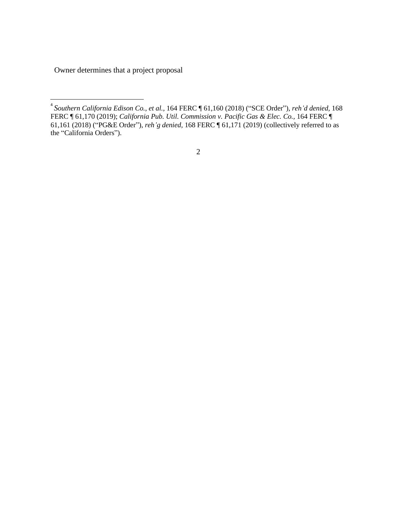Owner determines that a project proposal

<sup>4</sup> *Southern California Edison Co., et al.,* 164 FERC ¶ 61,160 (2018) ("SCE Order"), *reh'd denied,* 168 FERC ¶ 61,170 (2019); *California Pub. Util. Commission v. Pacific Gas & Elec. Co.,* 164 FERC ¶ 61,161 (2018) ("PG&E Order"), *reh'g denied,* 168 FERC ¶ 61,171 (2019) (collectively referred to as the "California Orders").

<sup>2</sup>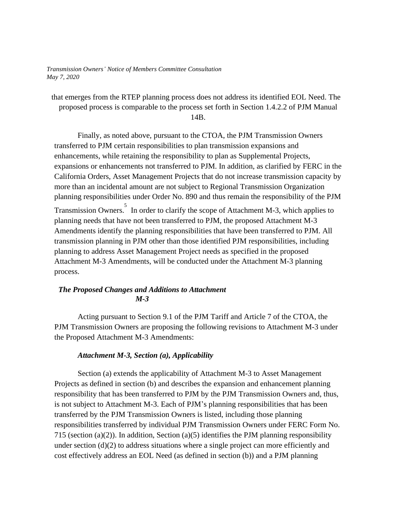that emerges from the RTEP planning process does not address its identified EOL Need. The proposed process is comparable to the process set forth in Section 1.4.2.2 of PJM Manual 14B.

Finally, as noted above, pursuant to the CTOA, the PJM Transmission Owners transferred to PJM certain responsibilities to plan transmission expansions and enhancements, while retaining the responsibility to plan as Supplemental Projects, expansions or enhancements not transferred to PJM. In addition, as clarified by FERC in the California Orders, Asset Management Projects that do not increase transmission capacity by more than an incidental amount are not subject to Regional Transmission Organization planning responsibilities under Order No. 890 and thus remain the responsibility of the PJM Transmission Owners. 5 In order to clarify the scope of Attachment M-3, which applies to planning needs that have not been transferred to PJM, the proposed Attachment M-3 Amendments identify the planning responsibilities that have been transferred to PJM. All transmission planning in PJM other than those identified PJM responsibilities, including planning to address Asset Management Project needs as specified in the proposed Attachment M-3 Amendments, will be conducted under the Attachment M-3 planning process.

#### *The Proposed Changes and Additions to Attachment M-3*

Acting pursuant to Section 9.1 of the PJM Tariff and Article 7 of the CTOA, the PJM Transmission Owners are proposing the following revisions to Attachment M-3 under the Proposed Attachment M-3 Amendments:

#### *Attachment M-3, Section (a), Applicability*

Section (a) extends the applicability of Attachment M-3 to Asset Management Projects as defined in section (b) and describes the expansion and enhancement planning responsibility that has been transferred to PJM by the PJM Transmission Owners and, thus, is not subject to Attachment M-3. Each of PJM's planning responsibilities that has been transferred by the PJM Transmission Owners is listed, including those planning responsibilities transferred by individual PJM Transmission Owners under FERC Form No. 715 (section (a)(2)). In addition, Section (a)(5) identifies the PJM planning responsibility under section  $(d)(2)$  to address situations where a single project can more efficiently and cost effectively address an EOL Need (as defined in section (b)) and a PJM planning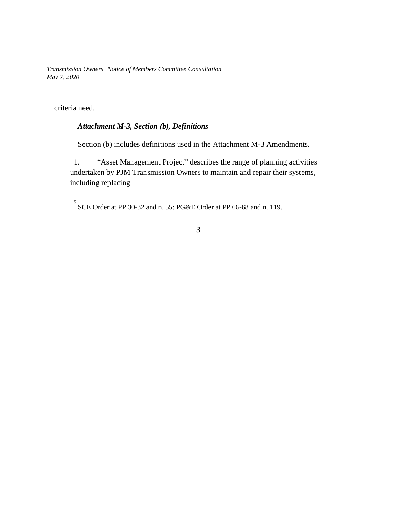criteria need.

# *Attachment M-3, Section (b), Definitions*

Section (b) includes definitions used in the Attachment M-3 Amendments.

1. "Asset Management Project" describes the range of planning activities undertaken by PJM Transmission Owners to maintain and repair their systems, including replacing

 $5$  SCE Order at PP 30-32 and n. 55; PG&E Order at PP 66-68 and n. 119.

3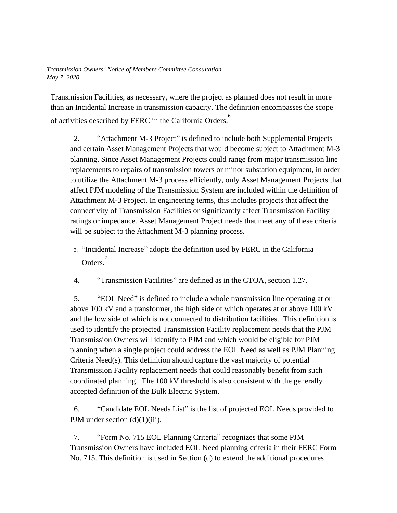Transmission Facilities, as necessary, where the project as planned does not result in more than an Incidental Increase in transmission capacity. The definition encompasses the scope of activities described by FERC in the California Orders. 6

2. "Attachment M-3 Project" is defined to include both Supplemental Projects and certain Asset Management Projects that would become subject to Attachment M-3 planning. Since Asset Management Projects could range from major transmission line replacements to repairs of transmission towers or minor substation equipment, in order to utilize the Attachment M-3 process efficiently, only Asset Management Projects that affect PJM modeling of the Transmission System are included within the definition of Attachment M-3 Project. In engineering terms, this includes projects that affect the connectivity of Transmission Facilities or significantly affect Transmission Facility ratings or impedance. Asset Management Project needs that meet any of these criteria will be subject to the Attachment M-3 planning process.

- 3. "Incidental Increase" adopts the definition used by FERC in the California Orders. 7
- 4. "Transmission Facilities" are defined as in the CTOA, section 1.27.

5. "EOL Need" is defined to include a whole transmission line operating at or above 100 kV and a transformer, the high side of which operates at or above 100 kV and the low side of which is not connected to distribution facilities. This definition is used to identify the projected Transmission Facility replacement needs that the PJM Transmission Owners will identify to PJM and which would be eligible for PJM planning when a single project could address the EOL Need as well as PJM Planning Criteria Need(s). This definition should capture the vast majority of potential Transmission Facility replacement needs that could reasonably benefit from such coordinated planning. The 100 kV threshold is also consistent with the generally accepted definition of the Bulk Electric System.

6. "Candidate EOL Needs List" is the list of projected EOL Needs provided to PJM under section (d)(1)(iii).

7. "Form No. 715 EOL Planning Criteria" recognizes that some PJM Transmission Owners have included EOL Need planning criteria in their FERC Form No. 715. This definition is used in Section (d) to extend the additional procedures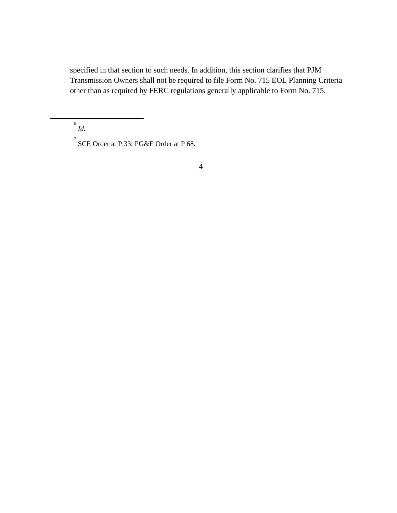specified in that section to such needs. In addition, this section clarifies that PJM Transmission Owners shall not be required to file Form No. 715 EOL Planning Criteria other than as required by FERC regulations generally applicable to Form No. 715.

6 *Id.*

 $\int$  SCE Order at P 33; PG&E Order at P 68.

4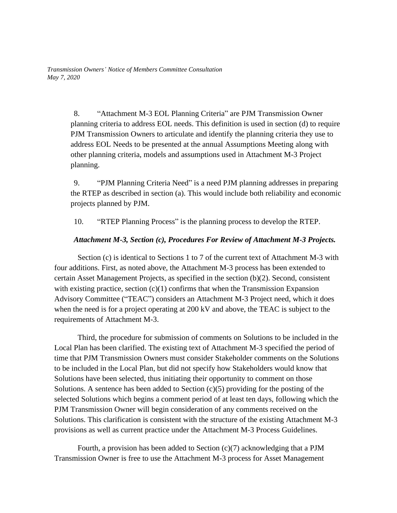> 8. "Attachment M-3 EOL Planning Criteria" are PJM Transmission Owner planning criteria to address EOL needs. This definition is used in section (d) to require PJM Transmission Owners to articulate and identify the planning criteria they use to address EOL Needs to be presented at the annual Assumptions Meeting along with other planning criteria, models and assumptions used in Attachment M-3 Project planning.

> 9. "PJM Planning Criteria Need" is a need PJM planning addresses in preparing the RTEP as described in section (a). This would include both reliability and economic projects planned by PJM.

10. "RTEP Planning Process" is the planning process to develop the RTEP.

#### *Attachment M-3, Section (c), Procedures For Review of Attachment M-3 Projects.*

Section (c) is identical to Sections 1 to 7 of the current text of Attachment M-3 with four additions. First, as noted above, the Attachment M-3 process has been extended to certain Asset Management Projects, as specified in the section (b)(2). Second, consistent with existing practice, section  $(c)(1)$  confirms that when the Transmission Expansion Advisory Committee ("TEAC") considers an Attachment M-3 Project need, which it does when the need is for a project operating at 200 kV and above, the TEAC is subject to the requirements of Attachment M-3.

Third, the procedure for submission of comments on Solutions to be included in the Local Plan has been clarified. The existing text of Attachment M-3 specified the period of time that PJM Transmission Owners must consider Stakeholder comments on the Solutions to be included in the Local Plan, but did not specify how Stakeholders would know that Solutions have been selected, thus initiating their opportunity to comment on those Solutions. A sentence has been added to Section  $(c)(5)$  providing for the posting of the selected Solutions which begins a comment period of at least ten days, following which the PJM Transmission Owner will begin consideration of any comments received on the Solutions. This clarification is consistent with the structure of the existing Attachment M-3 provisions as well as current practice under the Attachment M-3 Process Guidelines.

Fourth, a provision has been added to Section (c)(7) acknowledging that a PJM Transmission Owner is free to use the Attachment M-3 process for Asset Management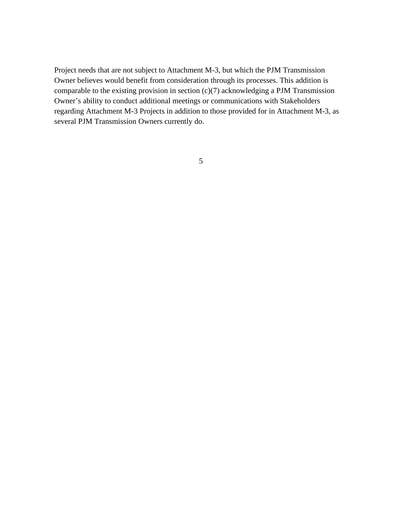Project needs that are not subject to Attachment M-3, but which the PJM Transmission Owner believes would benefit from consideration through its processes. This addition is comparable to the existing provision in section (c)(7) acknowledging a PJM Transmission Owner's ability to conduct additional meetings or communications with Stakeholders regarding Attachment M-3 Projects in addition to those provided for in Attachment M-3, as several PJM Transmission Owners currently do.

5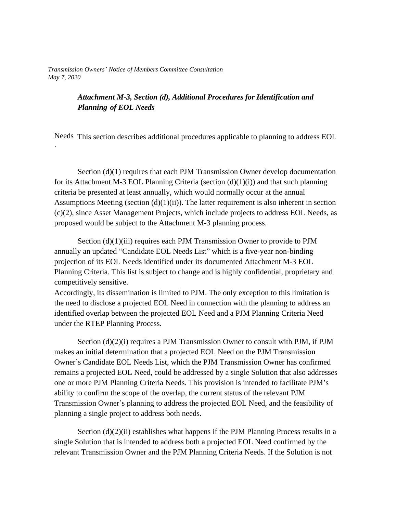# *Attachment M-3, Section (d), Additional Procedures for Identification and Planning of EOL Needs*

Needs This section describes additional procedures applicable to planning to address EOL .

Section (d)(1) requires that each PJM Transmission Owner develop documentation for its Attachment M-3 EOL Planning Criteria (section  $(d)(1)(i)$ ) and that such planning criteria be presented at least annually, which would normally occur at the annual Assumptions Meeting (section  $(d)(1)(ii)$ ). The latter requirement is also inherent in section (c)(2), since Asset Management Projects, which include projects to address EOL Needs, as proposed would be subject to the Attachment M-3 planning process.

Section (d)(1)(iii) requires each PJM Transmission Owner to provide to PJM annually an updated "Candidate EOL Needs List" which is a five-year non-binding projection of its EOL Needs identified under its documented Attachment M-3 EOL Planning Criteria. This list is subject to change and is highly confidential, proprietary and competitively sensitive.

Accordingly, its dissemination is limited to PJM. The only exception to this limitation is the need to disclose a projected EOL Need in connection with the planning to address an identified overlap between the projected EOL Need and a PJM Planning Criteria Need under the RTEP Planning Process.

Section (d)(2)(i) requires a PJM Transmission Owner to consult with PJM, if PJM makes an initial determination that a projected EOL Need on the PJM Transmission Owner's Candidate EOL Needs List, which the PJM Transmission Owner has confirmed remains a projected EOL Need, could be addressed by a single Solution that also addresses one or more PJM Planning Criteria Needs. This provision is intended to facilitate PJM's ability to confirm the scope of the overlap, the current status of the relevant PJM Transmission Owner's planning to address the projected EOL Need, and the feasibility of planning a single project to address both needs.

Section  $(d)(2)(ii)$  establishes what happens if the PJM Planning Process results in a single Solution that is intended to address both a projected EOL Need confirmed by the relevant Transmission Owner and the PJM Planning Criteria Needs. If the Solution is not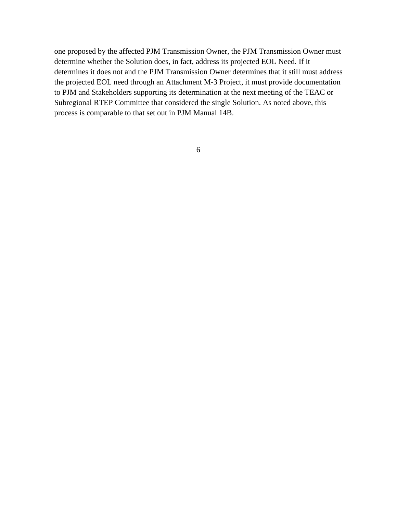one proposed by the affected PJM Transmission Owner, the PJM Transmission Owner must determine whether the Solution does, in fact, address its projected EOL Need. If it determines it does not and the PJM Transmission Owner determines that it still must address the projected EOL need through an Attachment M-3 Project, it must provide documentation to PJM and Stakeholders supporting its determination at the next meeting of the TEAC or Subregional RTEP Committee that considered the single Solution. As noted above, this process is comparable to that set out in PJM Manual 14B.

6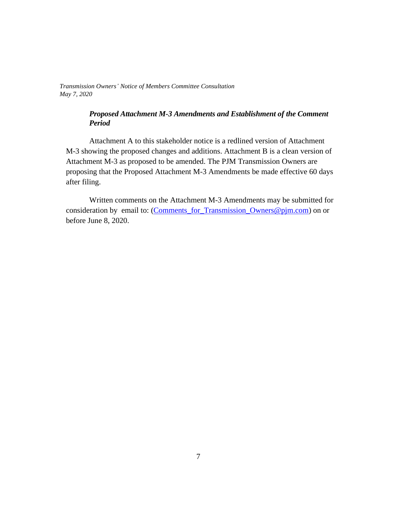#### *Proposed Attachment M-3 Amendments and Establishment of the Comment Period*

Attachment A to this stakeholder notice is a redlined version of Attachment M-3 showing the proposed changes and additions. Attachment B is a clean version of Attachment M-3 as proposed to be amended. The PJM Transmission Owners are proposing that the Proposed Attachment M-3 Amendments be made effective 60 days after filing.

Written comments on the Attachment M-3 Amendments may be submitted for consideration by email to: (Comments\_for\_Transmission\_Owners@pjm.com) on or before June 8, 2020.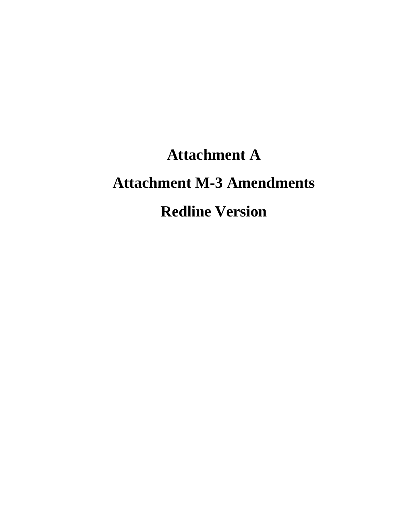# **Attachment A Attachment M-3 Amendments Redline Version**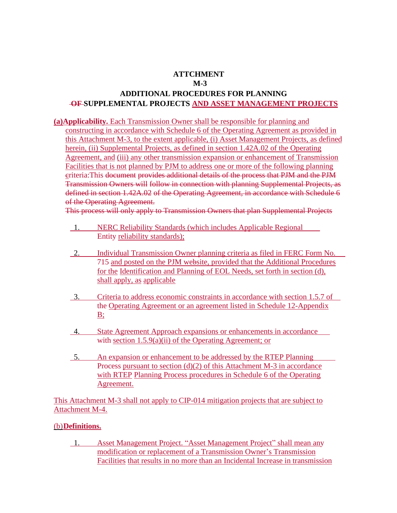# **ATTCHMENT M-3 ADDITIONAL PROCEDURES FOR PLANNING OF SUPPLEMENTAL PROJECTS AND ASSET MANAGEMENT PROJECTS**

**(a)Applicability.** Each Transmission Owner shall be responsible for planning and constructing in accordance with Schedule 6 of the Operating Agreement as provided in this Attachment M-3, to the extent applicable, (i) Asset Management Projects, as defined herein, (ii) Supplemental Projects, as defined in section 1.42A.02 of the Operating Agreement, and (iii) any other transmission expansion or enhancement of Transmission Facilities that is not planned by PJM to address one or more of the following planning criteria:This document provides additional details of the process that PJM and the PJM Transmission Owners will follow in connection with planning Supplemental Projects, as defined in section 1.42A.02 of the Operating Agreement, in accordance with Schedule 6 of the Operating Agreement.

This process will only apply to Transmission Owners that plan Supplemental Projects

- 1. NERC Reliability Standards (which includes Applicable Regional Entity reliability standards);
- 2. Individual Transmission Owner planning criteria as filed in FERC Form No. 715 and posted on the PJM website, provided that the Additional Procedures for the Identification and Planning of EOL Needs, set forth in section (d), shall apply, as applicable
- 3. Criteria to address economic constraints in accordance with section 1.5.7 of the Operating Agreement or an agreement listed in Schedule 12-Appendix  $B$ ;
- 4. State Agreement Approach expansions or enhancements in accordance with section 1.5.9(a)(ii) of the Operating Agreement; or
- 5. An expansion or enhancement to be addressed by the RTEP Planning Process pursuant to section  $(d)(2)$  of this Attachment M-3 in accordance with RTEP Planning Process procedures in Schedule 6 of the Operating Agreement.

This Attachment M-3 shall not apply to CIP-014 mitigation projects that are subject to Attachment M-4.

## (b)**Definitions.**

1. Asset Management Project. "Asset Management Project" shall mean any modification or replacement of a Transmission Owner's Transmission Facilities that results in no more than an Incidental Increase in transmission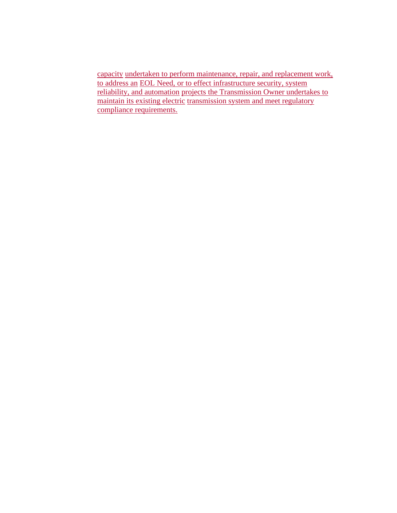capacity undertaken to perform maintenance, repair, and replacement work, to address an EOL Need, or to effect infrastructure security, system reliability, and automation projects the Transmission Owner undertakes to maintain its existing electric transmission system and meet regulatory compliance requirements.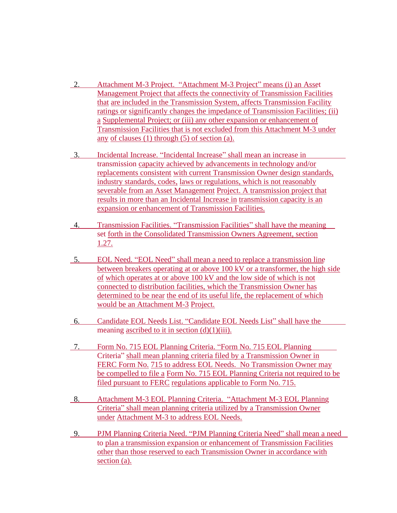- 2. Attachment M-3 Project. "Attachment M-3 Project" means (i) an Asset Management Project that affects the connectivity of Transmission Facilities that are included in the Transmission System, affects Transmission Facility ratings or significantly changes the impedance of Transmission Facilities; (ii) a Supplemental Project; or (iii) any other expansion or enhancement of Transmission Facilities that is not excluded from this Attachment M-3 under any of clauses (1) through (5) of section (a).
- 3. Incidental Increase. "Incidental Increase" shall mean an increase in transmission capacity achieved by advancements in technology and/or replacements consistent with current Transmission Owner design standards, industry standards, codes, laws or regulations, which is not reasonably severable from an Asset Management Project. A transmission project that results in more than an Incidental Increase in transmission capacity is an expansion or enhancement of Transmission Facilities.
- 4. Transmission Facilities. "Transmission Facilities" shall have the meaning set forth in the Consolidated Transmission Owners Agreement, section 1.27.
- 5. EOL Need. "EOL Need" shall mean a need to replace a transmission line between breakers operating at or above 100 kV or a transformer, the high side of which operates at or above 100 kV and the low side of which is not connected to distribution facilities, which the Transmission Owner has determined to be near the end of its useful life, the replacement of which would be an Attachment M-3 Project.
- 6. Candidate EOL Needs List. "Candidate EOL Needs List" shall have the meaning ascribed to it in section  $(d)(1)(iii)$ .
- 7. Form No. 715 EOL Planning Criteria. "Form No. 715 EOL Planning Criteria" shall mean planning criteria filed by a Transmission Owner in FERC Form No. 715 to address EOL Needs. No Transmission Owner may be compelled to file a Form No. 715 EOL Planning Criteria not required to be filed pursuant to FERC regulations applicable to Form No. 715.
- 8. Attachment M-3 EOL Planning Criteria. "Attachment M-3 EOL Planning Criteria" shall mean planning criteria utilized by a Transmission Owner under Attachment M-3 to address EOL Needs.
- 9. PJM Planning Criteria Need. "PJM Planning Criteria Need" shall mean a need to plan a transmission expansion or enhancement of Transmission Facilities other than those reserved to each Transmission Owner in accordance with section (a).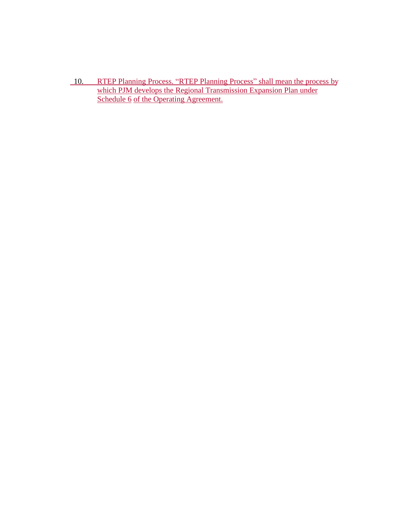10. RTEP Planning Process. "RTEP Planning Process" shall mean the process by which PJM develops the Regional Transmission Expansion Plan under Schedule 6 of the Operating Agreement.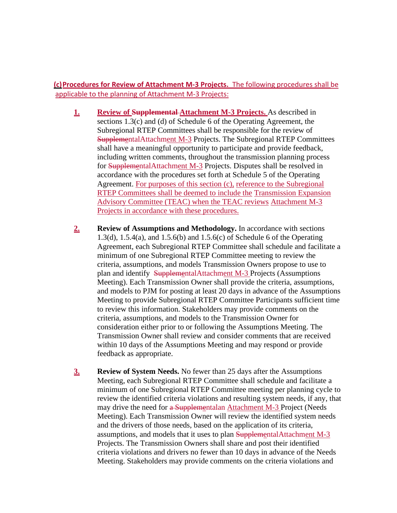**(c)Procedures for Review of Attachment M-3 Projects.** The following procedures shall be applicable to the planning of Attachment M-3 Projects:

- **1. Review of Supplemental Attachment M-3 Projects.** As described in sections 1.3(c) and (d) of Schedule 6 of the Operating Agreement, the Subregional RTEP Committees shall be responsible for the review of SupplementalAttachment M-3 Projects. The Subregional RTEP Committees shall have a meaningful opportunity to participate and provide feedback, including written comments, throughout the transmission planning process for SupplementalAttachment M-3 Projects. Disputes shall be resolved in accordance with the procedures set forth at Schedule 5 of the Operating Agreement. For purposes of this section (c), reference to the Subregional RTEP Committees shall be deemed to include the Transmission Expansion Advisory Committee (TEAC) when the TEAC reviews Attachment M-3 Projects in accordance with these procedures.
- **2. Review of Assumptions and Methodology.** In accordance with sections 1.3(d), 1.5.4(a), and 1.5.6(b) and 1.5.6(c) of Schedule 6 of the Operating Agreement, each Subregional RTEP Committee shall schedule and facilitate a minimum of one Subregional RTEP Committee meeting to review the criteria, assumptions, and models Transmission Owners propose to use to plan and identify SupplementalAttachment M-3 Projects (Assumptions Meeting). Each Transmission Owner shall provide the criteria, assumptions, and models to PJM for posting at least 20 days in advance of the Assumptions Meeting to provide Subregional RTEP Committee Participants sufficient time to review this information. Stakeholders may provide comments on the criteria, assumptions, and models to the Transmission Owner for consideration either prior to or following the Assumptions Meeting. The Transmission Owner shall review and consider comments that are received within 10 days of the Assumptions Meeting and may respond or provide feedback as appropriate.
- **3. Review of System Needs.** No fewer than 25 days after the Assumptions Meeting, each Subregional RTEP Committee shall schedule and facilitate a minimum of one Subregional RTEP Committee meeting per planning cycle to review the identified criteria violations and resulting system needs, if any, that may drive the need for a Supplementalan Attachment M-3 Project (Needs Meeting). Each Transmission Owner will review the identified system needs and the drivers of those needs, based on the application of its criteria, assumptions, and models that it uses to plan SupplementalAttachment M-3 Projects. The Transmission Owners shall share and post their identified criteria violations and drivers no fewer than 10 days in advance of the Needs Meeting. Stakeholders may provide comments on the criteria violations and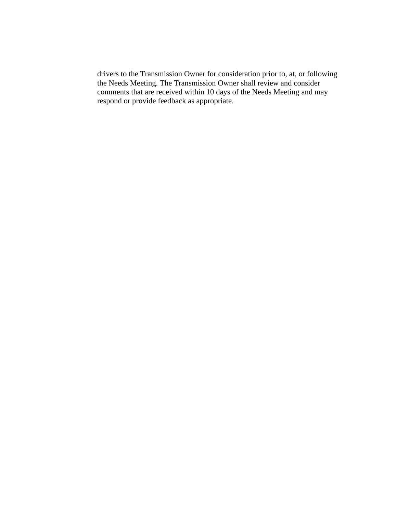drivers to the Transmission Owner for consideration prior to, at, or following the Needs Meeting. The Transmission Owner shall review and consider comments that are received within 10 days of the Needs Meeting and may respond or provide feedback as appropriate.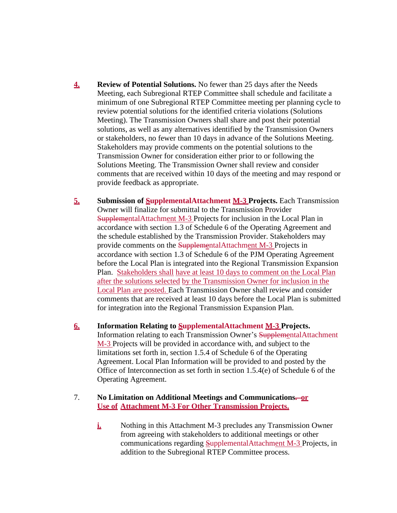- **4. Review of Potential Solutions.** No fewer than 25 days after the Needs Meeting, each Subregional RTEP Committee shall schedule and facilitate a minimum of one Subregional RTEP Committee meeting per planning cycle to review potential solutions for the identified criteria violations (Solutions Meeting). The Transmission Owners shall share and post their potential solutions, as well as any alternatives identified by the Transmission Owners or stakeholders, no fewer than 10 days in advance of the Solutions Meeting. Stakeholders may provide comments on the potential solutions to the Transmission Owner for consideration either prior to or following the Solutions Meeting. The Transmission Owner shall review and consider comments that are received within 10 days of the meeting and may respond or provide feedback as appropriate.
- **5. Submission of SupplementalAttachment M-3 Projects.** Each Transmission Owner will finalize for submittal to the Transmission Provider SupplementalAttachment M-3 Projects for inclusion in the Local Plan in accordance with section 1.3 of Schedule 6 of the Operating Agreement and the schedule established by the Transmission Provider. Stakeholders may provide comments on the SupplementalAttachment M-3 Projects in accordance with section 1.3 of Schedule 6 of the PJM Operating Agreement before the Local Plan is integrated into the Regional Transmission Expansion Plan. Stakeholders shall have at least 10 days to comment on the Local Plan after the solutions selected by the Transmission Owner for inclusion in the Local Plan are posted. Each Transmission Owner shall review and consider comments that are received at least 10 days before the Local Plan is submitted for integration into the Regional Transmission Expansion Plan.
- **6. Information Relating to SupplementalAttachment M-3 Projects.** Information relating to each Transmission Owner's SupplementalAttachment M-3 Projects will be provided in accordance with, and subject to the limitations set forth in, section 1.5.4 of Schedule 6 of the Operating Agreement. Local Plan Information will be provided to and posted by the Office of Interconnection as set forth in section 1.5.4(e) of Schedule 6 of the Operating Agreement.
- 7. **No Limitation on Additional Meetings and Communications. or Use of Attachment M-3 For Other Transmission Projects.**
	- **i.** Nothing in this Attachment M-3 precludes any Transmission Owner from agreeing with stakeholders to additional meetings or other communications regarding SupplementalAttachment M-3 Projects, in addition to the Subregional RTEP Committee process.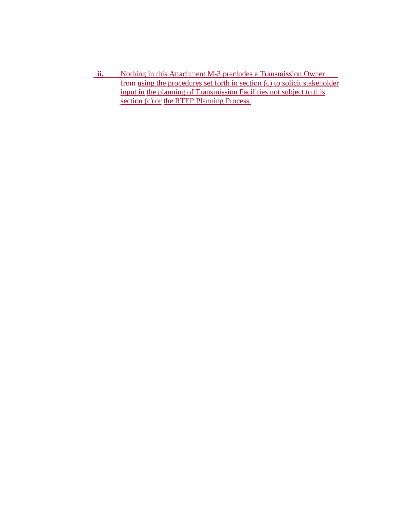ii. Nothing in this Attachment M-3 precludes a Transmission Owner from using the procedures set forth in section (c) to solicit stakeholder input in the planning of Transmission Facilities not subject to this section (c) or the RTEP Planning Process.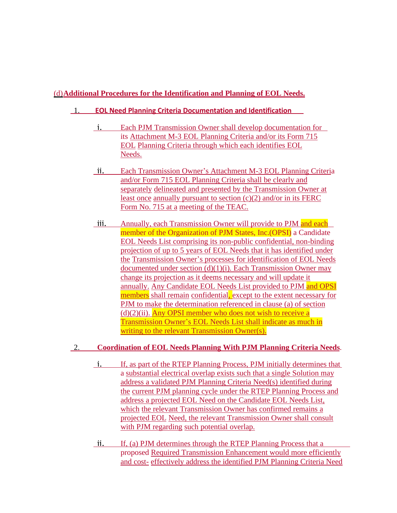# (d)**Additional Procedures for the Identification and Planning of EOL Needs.**

## 1. **EOL Need Planning Criteria Documentation and Identification**

- i. Each PJM Transmission Owner shall develop documentation for its Attachment M-3 EOL Planning Criteria and/or its Form 715 EOL Planning Criteria through which each identifies EOL Needs.
- ii. Each Transmission Owner's Attachment M-3 EOL Planning Criteria and/or Form 715 EOL Planning Criteria shall be clearly and separately delineated and presented by the Transmission Owner at least once annually pursuant to section (c)(2) and/or in its FERC Form No. 715 at a meeting of the TEAC.
- iii. Annually, each Transmission Owner will provide to PJM and each member of the Organization of PJM States, Inc. (OPSI) a Candidate EOL Needs List comprising its non-public confidential, non-binding projection of up to 5 years of EOL Needs that it has identified under the Transmission Owner's processes for identification of EOL Needs documented under section  $(d)(1)(i)$ . Each Transmission Owner may change its projection as it deems necessary and will update it annually. Any Candidate EOL Needs List provided to PJM and OPSI members shall remain confidential, except to the extent necessary for PJM to make the determination referenced in clause (a) of section  $(d)(2)(ii)$ . Any OPSI member who does not wish to receive a Transmission Owner's EOL Needs List shall indicate as much in writing to the relevant Transmission Owner(s).

## 2. **Coordination of EOL Needs Planning With PJM Planning Criteria Needs**.

- i. If, as part of the RTEP Planning Process, PJM initially determines that a substantial electrical overlap exists such that a single Solution may address a validated PJM Planning Criteria Need(s) identified during the current PJM planning cycle under the RTEP Planning Process and address a projected EOL Need on the Candidate EOL Needs List, which the relevant Transmission Owner has confirmed remains a projected EOL Need, the relevant Transmission Owner shall consult with PJM regarding such potential overlap.
- ii. If, (a) PJM determines through the RTEP Planning Process that a proposed Required Transmission Enhancement would more efficiently and cost- effectively address the identified PJM Planning Criteria Need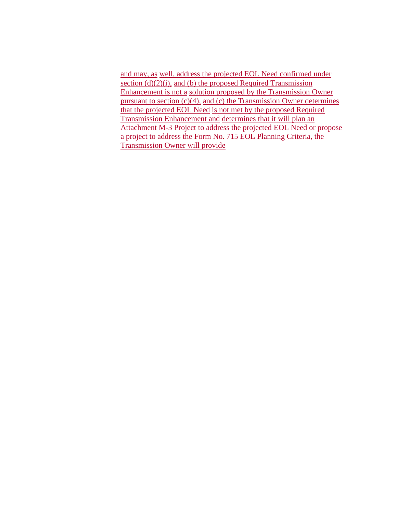and may, as well, address the projected EOL Need confirmed under section  $(d)(2)(i)$ , and  $(b)$  the proposed Required Transmission Enhancement is not a solution proposed by the Transmission Owner pursuant to section  $(c)(4)$ , and  $(c)$  the Transmission Owner determines that the projected EOL Need is not met by the proposed Required Transmission Enhancement and determines that it will plan an Attachment M-3 Project to address the projected EOL Need or propose a project to address the Form No. 715 EOL Planning Criteria, the Transmission Owner will provide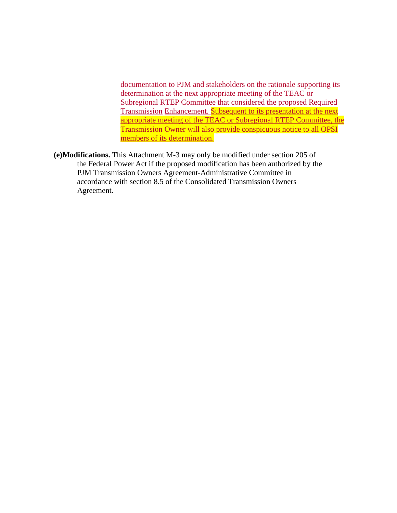documentation to PJM and stakeholders on the rationale supporting its determination at the next appropriate meeting of the TEAC or Subregional RTEP Committee that considered the proposed Required Transmission Enhancement. Subsequent to its presentation at the next appropriate meeting of the TEAC or Subregional RTEP Committee, the Transmission Owner will also provide conspicuous notice to all OPSI members of its determination.

**(e)Modifications.** This Attachment M-3 may only be modified under section 205 of the Federal Power Act if the proposed modification has been authorized by the PJM Transmission Owners Agreement-Administrative Committee in accordance with section 8.5 of the Consolidated Transmission Owners Agreement.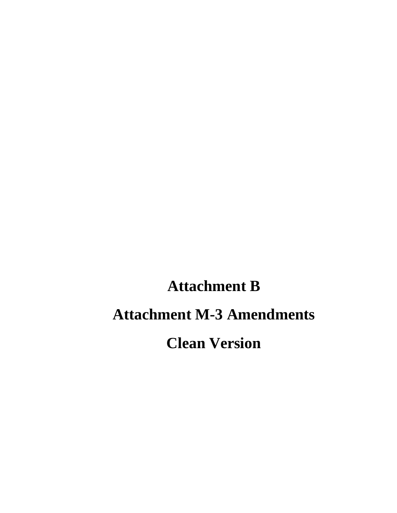# **Attachment B Attachment M-3 Amendments Clean Version**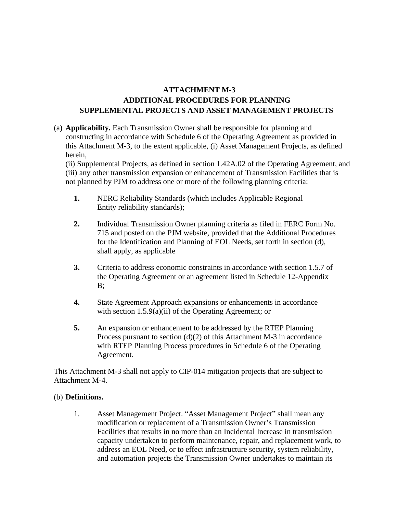# **ATTACHMENT M-3 ADDITIONAL PROCEDURES FOR PLANNING SUPPLEMENTAL PROJECTS AND ASSET MANAGEMENT PROJECTS**

(a) **Applicability.** Each Transmission Owner shall be responsible for planning and constructing in accordance with Schedule 6 of the Operating Agreement as provided in this Attachment M-3, to the extent applicable, (i) Asset Management Projects, as defined herein,

(ii) Supplemental Projects, as defined in section 1.42A.02 of the Operating Agreement, and (iii) any other transmission expansion or enhancement of Transmission Facilities that is not planned by PJM to address one or more of the following planning criteria:

- **1.** NERC Reliability Standards (which includes Applicable Regional Entity reliability standards);
- **2.** Individual Transmission Owner planning criteria as filed in FERC Form No. 715 and posted on the PJM website, provided that the Additional Procedures for the Identification and Planning of EOL Needs, set forth in section (d), shall apply, as applicable
- **3.** Criteria to address economic constraints in accordance with section 1.5.7 of the Operating Agreement or an agreement listed in Schedule 12-Appendix B;
- **4.** State Agreement Approach expansions or enhancements in accordance with section 1.5.9(a)(ii) of the Operating Agreement; or
- **5.** An expansion or enhancement to be addressed by the RTEP Planning Process pursuant to section (d)(2) of this Attachment M-3 in accordance with RTEP Planning Process procedures in Schedule 6 of the Operating Agreement.

This Attachment M-3 shall not apply to CIP-014 mitigation projects that are subject to Attachment M-4.

#### (b) **Definitions.**

1. Asset Management Project. "Asset Management Project" shall mean any modification or replacement of a Transmission Owner's Transmission Facilities that results in no more than an Incidental Increase in transmission capacity undertaken to perform maintenance, repair, and replacement work, to address an EOL Need, or to effect infrastructure security, system reliability, and automation projects the Transmission Owner undertakes to maintain its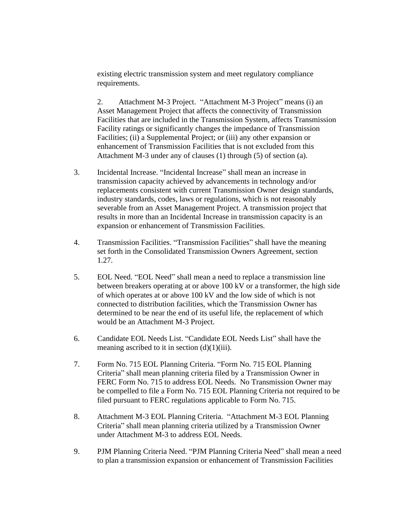existing electric transmission system and meet regulatory compliance requirements.

2. Attachment M-3 Project. "Attachment M-3 Project" means (i) an Asset Management Project that affects the connectivity of Transmission Facilities that are included in the Transmission System, affects Transmission Facility ratings or significantly changes the impedance of Transmission Facilities; (ii) a Supplemental Project; or (iii) any other expansion or enhancement of Transmission Facilities that is not excluded from this Attachment M-3 under any of clauses (1) through (5) of section (a).

- 3. Incidental Increase. "Incidental Increase" shall mean an increase in transmission capacity achieved by advancements in technology and/or replacements consistent with current Transmission Owner design standards, industry standards, codes, laws or regulations, which is not reasonably severable from an Asset Management Project. A transmission project that results in more than an Incidental Increase in transmission capacity is an expansion or enhancement of Transmission Facilities.
- 4. Transmission Facilities. "Transmission Facilities" shall have the meaning set forth in the Consolidated Transmission Owners Agreement, section 1.27.
- 5. EOL Need. "EOL Need" shall mean a need to replace a transmission line between breakers operating at or above 100 kV or a transformer, the high side of which operates at or above 100 kV and the low side of which is not connected to distribution facilities, which the Transmission Owner has determined to be near the end of its useful life, the replacement of which would be an Attachment M-3 Project.
- 6. Candidate EOL Needs List. "Candidate EOL Needs List" shall have the meaning ascribed to it in section  $(d)(1)(iii)$ .
- 7. Form No. 715 EOL Planning Criteria. "Form No. 715 EOL Planning Criteria" shall mean planning criteria filed by a Transmission Owner in FERC Form No. 715 to address EOL Needs. No Transmission Owner may be compelled to file a Form No. 715 EOL Planning Criteria not required to be filed pursuant to FERC regulations applicable to Form No. 715.
- 8. Attachment M-3 EOL Planning Criteria. "Attachment M-3 EOL Planning Criteria" shall mean planning criteria utilized by a Transmission Owner under Attachment M-3 to address EOL Needs.
- 9. PJM Planning Criteria Need. "PJM Planning Criteria Need" shall mean a need to plan a transmission expansion or enhancement of Transmission Facilities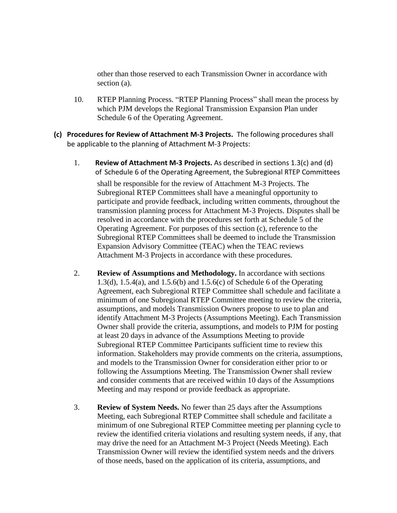other than those reserved to each Transmission Owner in accordance with section (a).

- 10. RTEP Planning Process. "RTEP Planning Process" shall mean the process by which PJM develops the Regional Transmission Expansion Plan under Schedule 6 of the Operating Agreement.
- **(c) Procedures for Review of Attachment M-3 Projects.** The following procedures shall be applicable to the planning of Attachment M-3 Projects:
	- 1. **Review of Attachment M-3 Projects.** As described in sections 1.3(c) and (d) of Schedule 6 of the Operating Agreement, the Subregional RTEP Committees shall be responsible for the review of Attachment M-3 Projects. The Subregional RTEP Committees shall have a meaningful opportunity to participate and provide feedback, including written comments, throughout the transmission planning process for Attachment M-3 Projects. Disputes shall be resolved in accordance with the procedures set forth at Schedule 5 of the Operating Agreement. For purposes of this section (c), reference to the Subregional RTEP Committees shall be deemed to include the Transmission Expansion Advisory Committee (TEAC) when the TEAC reviews Attachment M-3 Projects in accordance with these procedures.
	- 2. **Review of Assumptions and Methodology.** In accordance with sections 1.3(d), 1.5.4(a), and 1.5.6(b) and 1.5.6(c) of Schedule 6 of the Operating Agreement, each Subregional RTEP Committee shall schedule and facilitate a minimum of one Subregional RTEP Committee meeting to review the criteria, assumptions, and models Transmission Owners propose to use to plan and identify Attachment M-3 Projects (Assumptions Meeting). Each Transmission Owner shall provide the criteria, assumptions, and models to PJM for posting at least 20 days in advance of the Assumptions Meeting to provide Subregional RTEP Committee Participants sufficient time to review this information. Stakeholders may provide comments on the criteria, assumptions, and models to the Transmission Owner for consideration either prior to or following the Assumptions Meeting. The Transmission Owner shall review and consider comments that are received within 10 days of the Assumptions Meeting and may respond or provide feedback as appropriate.
	- 3. **Review of System Needs.** No fewer than 25 days after the Assumptions Meeting, each Subregional RTEP Committee shall schedule and facilitate a minimum of one Subregional RTEP Committee meeting per planning cycle to review the identified criteria violations and resulting system needs, if any, that may drive the need for an Attachment M-3 Project (Needs Meeting). Each Transmission Owner will review the identified system needs and the drivers of those needs, based on the application of its criteria, assumptions, and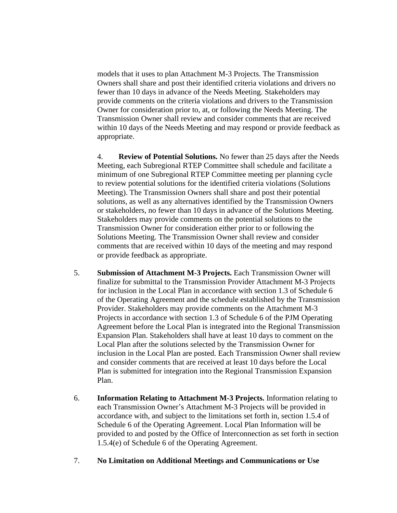models that it uses to plan Attachment M-3 Projects. The Transmission Owners shall share and post their identified criteria violations and drivers no fewer than 10 days in advance of the Needs Meeting. Stakeholders may provide comments on the criteria violations and drivers to the Transmission Owner for consideration prior to, at, or following the Needs Meeting. The Transmission Owner shall review and consider comments that are received within 10 days of the Needs Meeting and may respond or provide feedback as appropriate.

4. **Review of Potential Solutions.** No fewer than 25 days after the Needs Meeting, each Subregional RTEP Committee shall schedule and facilitate a minimum of one Subregional RTEP Committee meeting per planning cycle to review potential solutions for the identified criteria violations (Solutions Meeting). The Transmission Owners shall share and post their potential solutions, as well as any alternatives identified by the Transmission Owners or stakeholders, no fewer than 10 days in advance of the Solutions Meeting. Stakeholders may provide comments on the potential solutions to the Transmission Owner for consideration either prior to or following the Solutions Meeting. The Transmission Owner shall review and consider comments that are received within 10 days of the meeting and may respond or provide feedback as appropriate.

- 5. **Submission of Attachment M-3 Projects.** Each Transmission Owner will finalize for submittal to the Transmission Provider Attachment M-3 Projects for inclusion in the Local Plan in accordance with section 1.3 of Schedule 6 of the Operating Agreement and the schedule established by the Transmission Provider. Stakeholders may provide comments on the Attachment M-3 Projects in accordance with section 1.3 of Schedule 6 of the PJM Operating Agreement before the Local Plan is integrated into the Regional Transmission Expansion Plan. Stakeholders shall have at least 10 days to comment on the Local Plan after the solutions selected by the Transmission Owner for inclusion in the Local Plan are posted. Each Transmission Owner shall review and consider comments that are received at least 10 days before the Local Plan is submitted for integration into the Regional Transmission Expansion Plan.
- 6. **Information Relating to Attachment M-3 Projects.** Information relating to each Transmission Owner's Attachment M-3 Projects will be provided in accordance with, and subject to the limitations set forth in, section 1.5.4 of Schedule 6 of the Operating Agreement. Local Plan Information will be provided to and posted by the Office of Interconnection as set forth in section 1.5.4(e) of Schedule 6 of the Operating Agreement.

#### 7. **No Limitation on Additional Meetings and Communications or Use**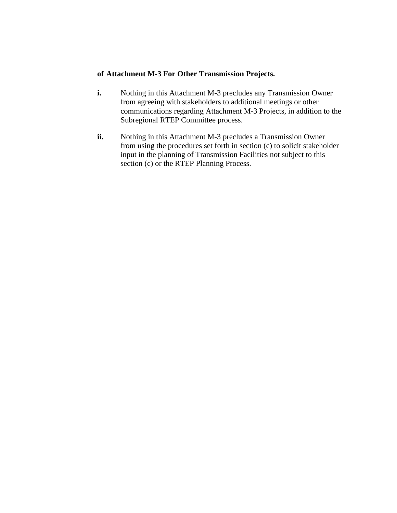#### **of Attachment M-3 For Other Transmission Projects.**

- **i.** Nothing in this Attachment M-3 precludes any Transmission Owner from agreeing with stakeholders to additional meetings or other communications regarding Attachment M-3 Projects, in addition to the Subregional RTEP Committee process.
- **ii.** Nothing in this Attachment M-3 precludes a Transmission Owner from using the procedures set forth in section (c) to solicit stakeholder input in the planning of Transmission Facilities not subject to this section (c) or the RTEP Planning Process.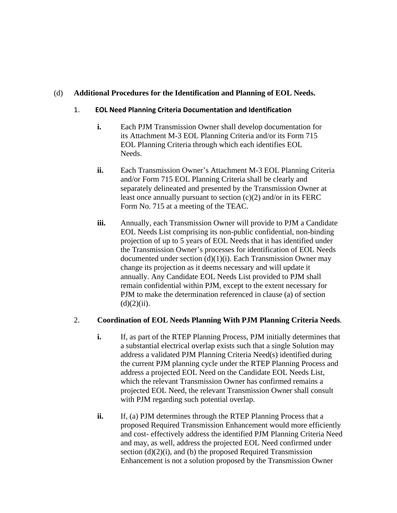# (d) **Additional Procedures for the Identification and Planning of EOL Needs.**

#### 1. **EOL Need Planning Criteria Documentation and Identification**

- **i.** Each PJM Transmission Owner shall develop documentation for its Attachment M-3 EOL Planning Criteria and/or its Form 715 EOL Planning Criteria through which each identifies EOL Needs.
- **ii.** Each Transmission Owner's Attachment M-3 EOL Planning Criteria and/or Form 715 EOL Planning Criteria shall be clearly and separately delineated and presented by the Transmission Owner at least once annually pursuant to section (c)(2) and/or in its FERC Form No. 715 at a meeting of the TEAC.
- **iii.** Annually, each Transmission Owner will provide to PJM a Candidate EOL Needs List comprising its non-public confidential, non-binding projection of up to 5 years of EOL Needs that it has identified under the Transmission Owner's processes for identification of EOL Needs documented under section  $(d)(1)(i)$ . Each Transmission Owner may change its projection as it deems necessary and will update it annually. Any Candidate EOL Needs List provided to PJM shall remain confidential within PJM, except to the extent necessary for PJM to make the determination referenced in clause (a) of section  $(d)(2)(ii)$ .

#### 2. **Coordination of EOL Needs Planning With PJM Planning Criteria Needs**.

- **i.** If, as part of the RTEP Planning Process, PJM initially determines that a substantial electrical overlap exists such that a single Solution may address a validated PJM Planning Criteria Need(s) identified during the current PJM planning cycle under the RTEP Planning Process and address a projected EOL Need on the Candidate EOL Needs List, which the relevant Transmission Owner has confirmed remains a projected EOL Need, the relevant Transmission Owner shall consult with PJM regarding such potential overlap.
- **ii.** If, (a) PJM determines through the RTEP Planning Process that a proposed Required Transmission Enhancement would more efficiently and cost- effectively address the identified PJM Planning Criteria Need and may, as well, address the projected EOL Need confirmed under section  $(d)(2)(i)$ , and  $(b)$  the proposed Required Transmission Enhancement is not a solution proposed by the Transmission Owner